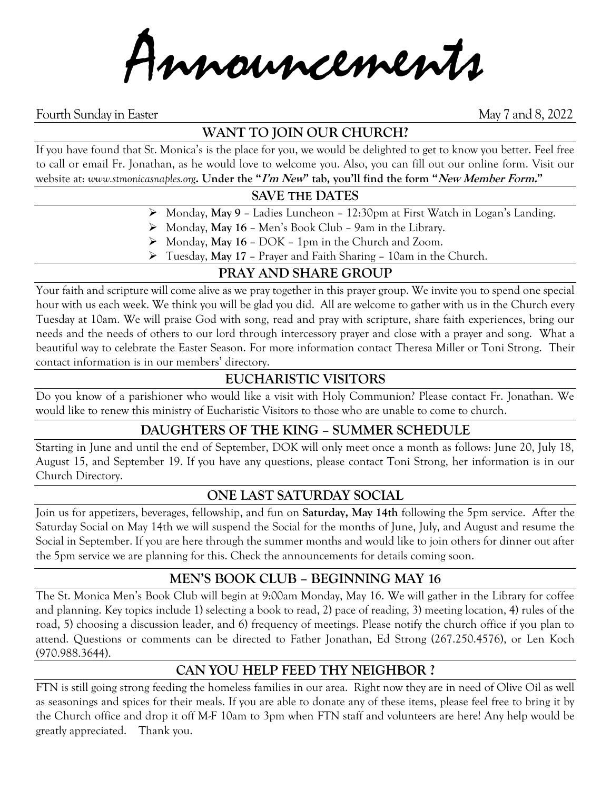Announcements

Fourth Sunday in Easter May 7 and 8, 2022

# **WANT TO JOIN OUR CHURCH?**

If you have found that St. Monica's is the place for you, we would be delighted to get to know you better. Feel free to call or email Fr. Jonathan, as he would love to welcome you. Also, you can fill out our online form. Visit our website at: *www.stmonicasnaples.org***. Under the "I'm New" tab, you'll find the form "New Member Form."**

#### **SAVE THE DATES**

- ➢ Monday, **May 9** Ladies Luncheon 12:30pm at First Watch in Logan's Landing.
- ➢ Monday, **May 16** Men's Book Club 9am in the Library.
- ➢ Monday, **May 16** DOK 1pm in the Church and Zoom.
- ➢ Tuesday, **May 17** Prayer and Faith Sharing 10am in the Church.

## **PRAY AND SHARE GROUP**

Your faith and scripture will come alive as we pray together in this prayer group. We invite you to spend one special hour with us each week. We think you will be glad you did. All are welcome to gather with us in the Church every Tuesday at 10am. We will praise God with song, read and pray with scripture, share faith experiences, bring our needs and the needs of others to our lord through intercessory prayer and close with a prayer and song. What a beautiful way to celebrate the Easter Season. For more information contact Theresa Miller or Toni Strong. Their contact information is in our members' directory.

## **EUCHARISTIC VISITORS**

Do you know of a parishioner who would like a visit with Holy Communion? Please contact Fr. Jonathan. We would like to renew this ministry of Eucharistic Visitors to those who are unable to come to church.

## **DAUGHTERS OF THE KING – SUMMER SCHEDULE**

Starting in June and until the end of September, DOK will only meet once a month as follows: June 20, July 18, August 15, and September 19. If you have any questions, please contact Toni Strong, her information is in our Church Directory.

## **ONE LAST SATURDAY SOCIAL**

Join us for appetizers, beverages, fellowship, and fun on **Saturday, May 14th** following the 5pm service. After the Saturday Social on May 14th we will suspend the Social for the months of June, July, and August and resume the Social in September. If you are here through the summer months and would like to join others for dinner out after the 5pm service we are planning for this. Check the announcements for details coming soon.

#### **MEN'S BOOK CLUB – BEGINNING MAY 16**

The St. Monica Men's Book Club will begin at 9:00am Monday, May 16. We will gather in the Library for coffee and planning. Key topics include 1) selecting a book to read, 2) pace of reading, 3) meeting location, 4) rules of the road, 5) choosing a discussion leader, and 6) frequency of meetings. Please notify the church office if you plan to attend. Questions or comments can be directed to Father Jonathan, Ed Strong (267.250.4576), or Len Koch (970.988.3644).

## **CAN YOU HELP FEED THY NEIGHBOR ?**

FTN is still going strong feeding the homeless families in our area. Right now they are in need of Olive Oil as well as seasonings and spices for their meals. If you are able to donate any of these items, please feel free to bring it by the Church office and drop it off M-F 10am to 3pm when FTN staff and volunteers are here! Any help would be greatly appreciated. Thank you.